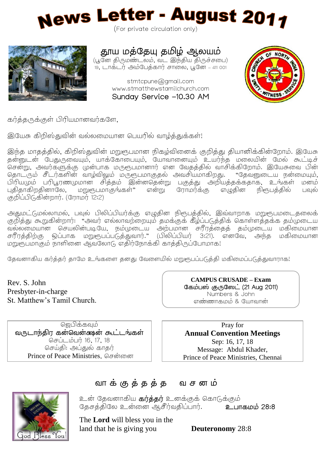



தூய மத்தேயு தமிழ் ஆலயம்

(பூனே திருமண்டலம், வட இந்திய திருச்சபை) 19, டாக்டர் அம்பேக்கார் சாலை, பூனே – 411 001

> stmtcpune@gmail.com www.stmatthewstamilchurch.com Sunday Service -10.30 AM



கர்த்தருக்குள் பிரியமானவர்களே,

இயேசு கிறிஸ்குவின் வல்லமையான பெயரில் வாடிக்குக்கள்!

இந்த மாதத்தில், கிறிஸ்துவின் மறுரூபமான நிகழ்வினைக் குறித்து தியானிக்கின்றோம். இயேசு .<br>தன்னுடன் பேதுருவையும், யாக்கோபையும், யோவானையும் உயர்ந்த மலையின் மேல் கூட்டிச் .<br>சென்று, அவர்களுக்கு முன்பாக மருரூபமானார் என வேதத்தில் வாசிக்கிறோம். இயேசுவை பின் கொட்ரும் சீடாகளின் வாம்விலும் மருளூபமாகுகல் அவசியமாகிறது. "கேவனுடைய நன்மையம். பிரியமும் பரிபூரணமுமான சித்தம் இன்னதென்று பகுத்து அறியத்தக்கதாக, உங்கள் மனம் புதிதாகிறதினாலே, மறுரூபமாகுங்கள்" என்று ரோமர்க்கு எழுதின நிரூபத்தில் பவல் குறிப்பிடுகின்றார். (ரோமா 12:2)

அதுமட்டுமல்லாமல், பவுல் பிலிப்பியர்க்கு எழுதின நிரூபத்தில், இவ்வாறாக மறுரூபமடைதலைக் குறித்து கூறுகின்றார்: "அவர் எல்லாவற்றையும் கமக்குக் கீழ்ப்படுக்கிக் கொள்ளக்கக்க கம்முடைய .<br>வல்லமையான செயலின்படியே, நம்முடைய அற்பமான சரீரத்தைத் தம்முடைய மகிமையான .<br>சரீரத்திற்கு ஒப்பாக மறுரூபப்படுத்துவார்." (பிலிப்பியா 3:21). எனவே. அந்த மகிமையான மறுருபமாகும் நாளினை ஆவலோடு எதிர்நோக்கி காத்திருப்போமாக!

தேவனாகிய கர்த்தர் தாமே உங்களை தனது வேளையில் மறுரூபப்படுத்தி மகிமைப்படுத்துவாராக!

Rev. S. John Presbyter-in-charge St. Matthew's Tamil Church.

ஜெபிக்கவும் வருடாந்திர கன்வென்கைன் கூட்டங்கள் செப்டம்பர் 16, 17, 18 செய்தி: அப்துல் காகா Prince of Peace Ministries, சென்னை

**CAMPUS CRUSADE – Exam**  (21 Aug 2011) Numbers & John எண்ணாகமும் & யோவான்

Pray for **Annual Convention Meetings** Sep: 16, 17, 18 Message: Abdul Khader, Prince of Peace Ministries, Chennai



### வாக்குத்தத்த வசனம்

உன் தேவனாகிய **கர்த்தர்** உனக்குக் கொடுக்கும் . 28:8

The **Lord** will bless you in the land that he is giving you **Deuteronomy** 28:8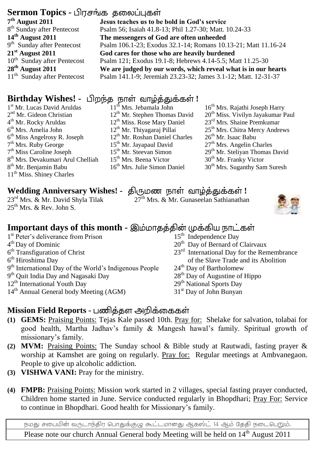# **Sermon Topics -**

**7 th August 2011** 8<sup>th</sup> Sunday after Pentecost **14th August 2011** 9<sup>th</sup> Sunday after Pentecost **21st August 2011** 10<sup>th</sup> Sunday after Pentecost **28th August 2011** 11<sup>th</sup> Sunday after Pentecost **Jesus teaches us to be bold in God's service** Psalm 56; Isaiah 41.8-13; Phil 1.27-30; Matt. 10.24-33 **The messengers of God are often unheeded** Psalm 106.1-23; Exodus 32.1-14; Romans 10.13-21; Matt 11.16-24 **God cares for those who are heavily burdened** Psalm 121; Exodus 19.1-8; Hebrews 4.14-5.5; Matt 11.25-30 **We are judged by our words, which reveal what is in our hearts** Psalm 141.1-9; Jeremiah 23.23-32; James 3.1-12; Matt. 12-31-37

# **Birthday Wishes! -** பிறந்த நாள் வாழ்த்துக்கள்!

1 st Mr. Lucas David Aruldas 2<sup>nd</sup> Mr. Gideon Christian 4<sup>th</sup> Mr. Rocky Aruldas 6<sup>th</sup> Mrs. Amelia John  $6<sup>th</sup>$  Miss Angelrosy R. Joseph 7<sup>th</sup> Mrs. Ruby George 7<sup>th</sup> Miss Caroline Joseph 8 th Mrs. Devakumari Arul Chelliah 8<sup>th</sup> Mr. Benjamin Babu 11<sup>th</sup> Miss. Shiney Charles

 $25^{th}$  Mrs. & Rev. John S.

- 
- 1<sup>st</sup> Peter's deliverance from Prison
- 4 th Day of Dominic
- 6<sup>th</sup> Transfiguration of Christ
- 6 th Hiroshima Day
- 9<sup>th</sup> International Day of the World's Indigenous People
- 9<sup>th</sup> Quit India Day and Nagasaki Day
- 12<sup>th</sup> International Youth Day
- 14th Annual General body Meeting (AGM)
- 11<sup>th</sup> Mrs. Jebamala John 12th Mr. Stephen Thomas David 12<sup>th</sup> Miss. Rose Mary Daniel 12<sup>th</sup> Mr. Thiyagaraj Pillai 12<sup>th</sup> Mr. Roshan Daniel Charles 15<sup>th</sup> Mr. Jayapaul David 15th Mr. Steevan Simon 15th Mrs. Beena Victor 16<sup>th</sup> Mrs. Julie Simon Daniel
- 16<sup>th</sup> Mrs. Rajathi Joseph Harry 20<sup>th</sup> Miss. Vivilyn Jayakumar Paul 23rd Mrs. Shaine Premkumar 25<sup>th</sup> Mrs. Chitra Mercy Andrews  $26<sup>th</sup>$  Mr. Isaac Babu  $27<sup>th</sup>$  Mrs. Angelin Charles
- 29<sup>th</sup> Mr. Steliyan Thomas David
- 30<sup>th</sup> Mr. Franky Victor
- $30<sup>th</sup>$  Mrs. Suganthy Sam Suresh

# **Wedding Anniversary Wishes! -** திருமண நாள் வாழ்த்துக்கள்!<br><sup>27rd</sup> Mrs. & Mr. David Shyla Tilak <sup>27th</sup> Mrs. & Mr. Gunaseelan Sathianathai

27<sup>th</sup> Mrs. & Mr. Gunaseelan Sathianathan



# **Important days of this month -**

- 15<sup>th</sup> Independence Day
- 20<sup>th</sup> Day of Bernard of Clairvaux
- 23<sup>rd</sup> International Day for the Remembrance of the Slave Trade and its Abolition
- 24<sup>th</sup> Day of Bartholomew
- 28<sup>th</sup> Day of Augustine of Hippo
- 29<sup>th</sup> National Sports Day
- 31<sup>st</sup> Day of John Bunyan

### **Mission Field Reports -**

- **(1) GEMS:** Praising Points: Tejas Kale passed 10th. Pray for: Shelake for salvation, tolabai for good health, Martha Jadhav's family & Mangesh hawal's family. Spiritual growth of missionary's family.
- **(2) MVM:** Praising Points: The Sunday school & Bible study at Rautwadi, fasting prayer & worship at Kamshet are going on regularly. Pray for: Regular meetings at Ambvanegaon. People to give up alcoholic addiction.
- **(3) VISHWA VANI:** Pray for the ministry.
- **(4) FMPB:** Praising Points: Mission work started in 2 villages, special fasting prayer conducted, Children home started in June. Service conducted regularly in Bhopdhari; Pray For: Service to continue in Bhopdhari. Good health for Missionary's family.

நமது சபையின் வருடாந்திர பொதுக்குழு கூட்டமானது ஆகஸ்ட் 14 ஆம் தேதி நடைபெறும். Please note our church Annual General body Meeting will be held on 14<sup>th</sup> August 2011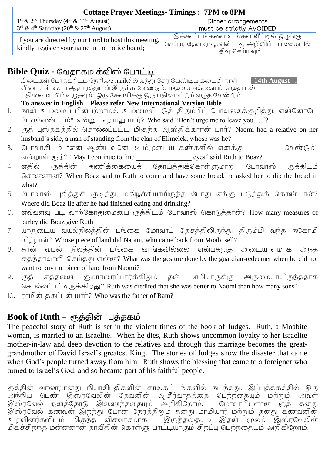| <b>Cottage Prayer Meetings-Timings: 7PM to 8PM</b>                                                      |                                             |
|---------------------------------------------------------------------------------------------------------|---------------------------------------------|
| $1^{\text{st}}$ & $2^{\text{nd}}$ Thursday ( $4^{\text{th}}$ & $11^{\text{th}}$ August)                 | Dinner arrangements                         |
| $3^{\text{rd}}$ & 4 <sup>th</sup> Saturday (20 <sup>th</sup> & 27 <sup>th</sup> August)                 | must be strictly AVOIDED                    |
| If you are directed by our Lord to host this meeting.<br>kindly register your name in the notice board; | இக்கூட்டங்களை உங்கள் வீட்டில் ஒழுங்கு       |
|                                                                                                         | செய்ய, தேவ ஏவுதலின் படி, அறிவிப்பு பலகையில் |
|                                                                                                         | பதிவு செய்யவும்                             |

#### **Bible Quiz -**

 /e-mail **14th August .** . . . **To answer in English – Please refer New International Version Bible**

- 1. நான் உம்மைப் பின்பற்றாமல் உம்மைவிட்டுத் திரும்பிப் போவதைக்குறித்து, என்னோடே பேசவேண்டாம்" என்று கூறியது யார்? Who said "Don't urge me to leave you...."?
- 2. நூக் புஸ்ககக்கில் சொல்லப்பட்ட மிகுந்த ஆஸ்கிக்காரன் யார்? Naomi had a relative on her husband's side, a man of standing from the clan of Elimelek, whose was he?
- 3. போவாசிடம் "என் ஆண்டவனே, உம்முடைய கண்களில் எனக்கு -------- வேண்டும்"
- என்றாள் ரூத்? "May I continue to find \_\_\_\_\_\_\_\_\_\_\_\_\_\_\_\_\_\_\_\_ eyes" said Ruth to Boaz?<br>எதில் நைத்தின் துணிக்கையைத் தோய்த்துக்கொள்ளுமாறு போவாஸ் 4. எகில் ஈுக்கின் துணிக்கையைக் ருத்திடம் ? When Boaz said to Ruth to come and have some bread, he asked her to dip the bread in what?
- 5. போவாஸ் பசிக்குக் குடிக்கு, மகிம்ச்சியாயிருந்த போது எங்கு படுக்குக் கொண்டான்? Where did Boaz lie after he had finished eating and drinking?
- 6. எவ்வளவு படி வாற்கோதுமையை ரூத்திடம் போவாஸ் கொடுத்தான்? How many measures of barley did Boaz give Ruth
- 7. யாருடைய வயல்நிலத்தின் பங்கை மோவாப் தேசத்திலிருந்து திரும்பி வந்த நகோமி விற்றாள்? Whose piece of land did Naomi, who came back from Moab, sell?<br>தான் வயல் நிலக்கின் பங்கை வாங்கவில்லை என்பகற்கு அடையாளமாக அந்க
- 8. சுகந்தாவாளி செய்தது என்ன? What was the gesture done by the guardian-redeemer when he did not want to buy the piece of land from Naomi?<br>ரூத் எத்தனை குமாரரைப்பார்க்கிலும் கன்
- மாமியாருக்கு 9. அருமையாயிருந்ததாக சொல்லப்பட்டிருக்கிறது? Ruth was credited that she was better to Naomi than how many sons?
- 10. ராமின் தகப்பன் யார்? Who was the father of Ram?

## **Book of Ruth –**

The peaceful story of Ruth is set in the violent times of the book of Judges. Ruth, a Moabite woman, is married to an Israelite. When he dies, Ruth shows uncommon loyalty to her Israelite mother-in-law and deep devotion to the relatives and through this marriage becomes the greatgrandmother of David Israel's greatest King. The stories of Judges show the disaster that came when God's people turned away from him. Ruth shows the blessing that came to a foreigner who turned to Israel's God, and so became part of his faithful people.

ரூத்தின் வரலாறானது நியாதிபதிகளின் காலகட்டங்களில் நடந்தது. இப்புத்தகத்தில் ஒரு அந்நிய பெண் இஸ்ரவேலின் தேவனின் ஆசீர்வாதத்தை பெற்றகையும் மற்றும் அவள் இஸ்ரவேல் ஜனத்தோடு இணைந்ததையும் அறிகிறோம். மோவாபியளான ரூத் தனது .<br>இஸ்ரவேல் கணவன் இறந்து போன் நேரக்கிலும் கனது மாமியார் மற்றும் கனது கணவனின் உறவினர்களிடம் மிகுந்த விசுவாசமாக இருந்ததையும் இதன் மூலம் இஸ்ரவேலின் மிகச்சிறந்த மன்னனான தாவீதின் கொள்ளு பாட்டியாகும் சிறப்பு பெற்றதையும் அறிகிறோம்.